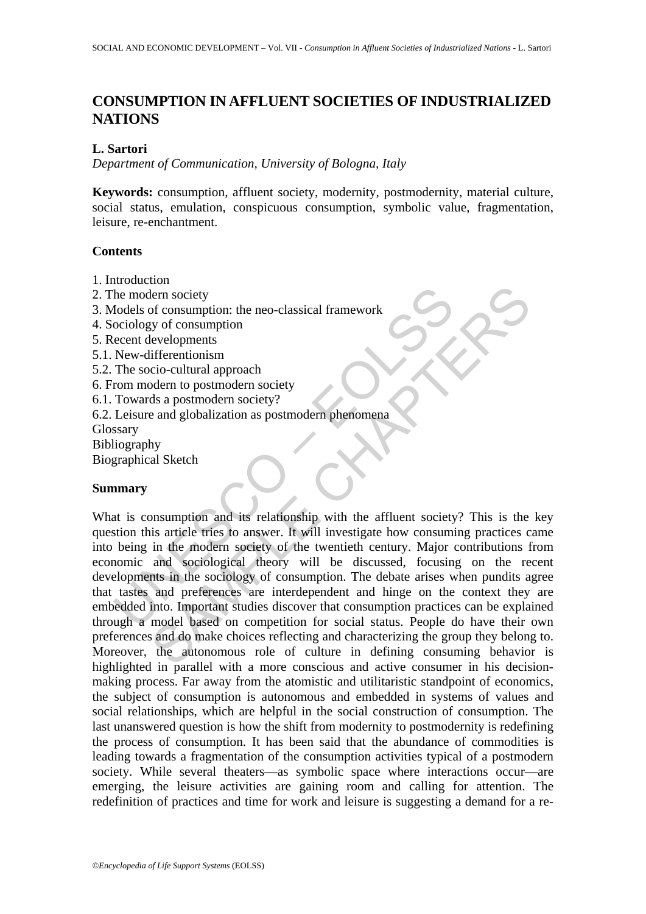# **CONSUMPTION IN AFFLUENT SOCIETIES OF INDUSTRIALIZED NATIONS**

# **L. Sartori**

*Department of Communication, University of Bologna, Italy* 

**Keywords:** consumption, affluent society, modernity, postmodernity, material culture, social status, emulation, conspicuous consumption, symbolic value, fragmentation, leisure, re-enchantment.

# **Contents**

- 1. Introduction
- 2. The modern society
- 3. Models of consumption: the neo-classical framework
- 4. Sociology of consumption
- 5. Recent developments
- 5.1. New-differentionism
- 5.2. The socio-cultural approach
- 6. From modern to postmodern society
- 6.1. Towards a postmodern society?
- 6.2. Leisure and globalization as postmodern phenomena

**Glossary** 

Bibliography

Biographical Sketch

# **Summary**

The modern society<br>
Todels of consumption: the neo-classical framework<br>
occiology of consumption<br>
New-differentionism<br>
The socio-cultural approach<br>
The socio-cultural approach<br>
Towards a postmodern society?<br>
Towards a post For society<br>
for consumption: the neo-classical framework<br>
yer of consumption<br>
developments<br>
developments<br>
developments<br>
developments<br>
developments<br>
developments<br>
developments<br>
des a postmodern society<br>
ds a postmodern soc What is consumption and its relationship with the affluent society? This is the key question this article tries to answer. It will investigate how consuming practices came into being in the modern society of the twentieth century. Major contributions from economic and sociological theory will be discussed, focusing on the recent developments in the sociology of consumption. The debate arises when pundits agree that tastes and preferences are interdependent and hinge on the context they are embedded into. Important studies discover that consumption practices can be explained through a model based on competition for social status. People do have their own preferences and do make choices reflecting and characterizing the group they belong to. Moreover, the autonomous role of culture in defining consuming behavior is highlighted in parallel with a more conscious and active consumer in his decisionmaking process. Far away from the atomistic and utilitaristic standpoint of economics, the subject of consumption is autonomous and embedded in systems of values and social relationships, which are helpful in the social construction of consumption. The last unanswered question is how the shift from modernity to postmodernity is redefining the process of consumption. It has been said that the abundance of commodities is leading towards a fragmentation of the consumption activities typical of a postmodern society. While several theaters—as symbolic space where interactions occur—are emerging, the leisure activities are gaining room and calling for attention. The redefinition of practices and time for work and leisure is suggesting a demand for a re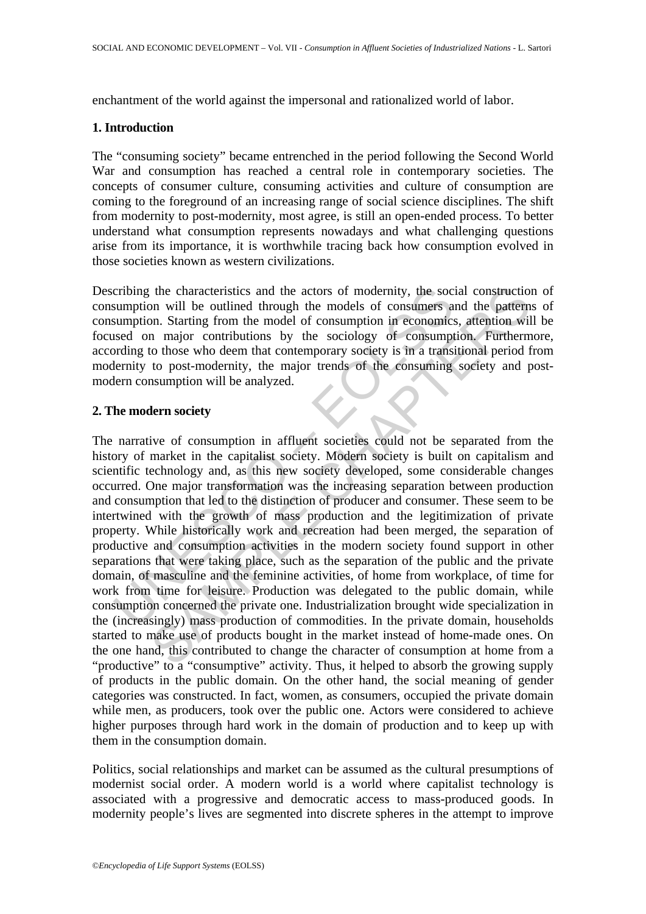enchantment of the world against the impersonal and rationalized world of labor.

### **1. Introduction**

The "consuming society" became entrenched in the period following the Second World War and consumption has reached a central role in contemporary societies. The concepts of consumer culture, consuming activities and culture of consumption are coming to the foreground of an increasing range of social science disciplines. The shift from modernity to post-modernity, most agree, is still an open-ended process. To better understand what consumption represents nowadays and what challenging questions arise from its importance, it is worthwhile tracing back how consumption evolved in those societies known as western civilizations.

Describing the characteristics and the actors of modernity, the social construction of consumption will be outlined through the models of consumers and the patterns of consumption. Starting from the model of consumption in economics, attention will be focused on major contributions by the sociology of consumption. Furthermore, according to those who deem that contemporary society is in a transitional period from modernity to post-modernity, the major trends of the consuming society and postmodern consumption will be analyzed.

# **2. The modern society**

cribing the characteristics and the actors of modernity, the soc<br>sumption will be outlined through the models of consumers a<br>sumption. Starting from the model of consumption in economics<br>sused on major contributions by the the characteristics and the actors of modernity, the social construction<br>on will be outlined through the models of consumption<br>on. Starting from the model of consumption in economics, attention will<br>on. Starting from the m The narrative of consumption in affluent societies could not be separated from the history of market in the capitalist society. Modern society is built on capitalism and scientific technology and, as this new society developed, some considerable changes occurred. One major transformation was the increasing separation between production and consumption that led to the distinction of producer and consumer. These seem to be intertwined with the growth of mass production and the legitimization of private property. While historically work and recreation had been merged, the separation of productive and consumption activities in the modern society found support in other separations that were taking place, such as the separation of the public and the private domain, of masculine and the feminine activities, of home from workplace, of time for work from time for leisure. Production was delegated to the public domain, while consumption concerned the private one. Industrialization brought wide specialization in the (increasingly) mass production of commodities. In the private domain, households started to make use of products bought in the market instead of home-made ones. On the one hand, this contributed to change the character of consumption at home from a "productive" to a "consumptive" activity. Thus, it helped to absorb the growing supply of products in the public domain. On the other hand, the social meaning of gender categories was constructed. In fact, women, as consumers, occupied the private domain while men, as producers, took over the public one. Actors were considered to achieve higher purposes through hard work in the domain of production and to keep up with them in the consumption domain.

Politics, social relationships and market can be assumed as the cultural presumptions of modernist social order. A modern world is a world where capitalist technology is associated with a progressive and democratic access to mass-produced goods. In modernity people's lives are segmented into discrete spheres in the attempt to improve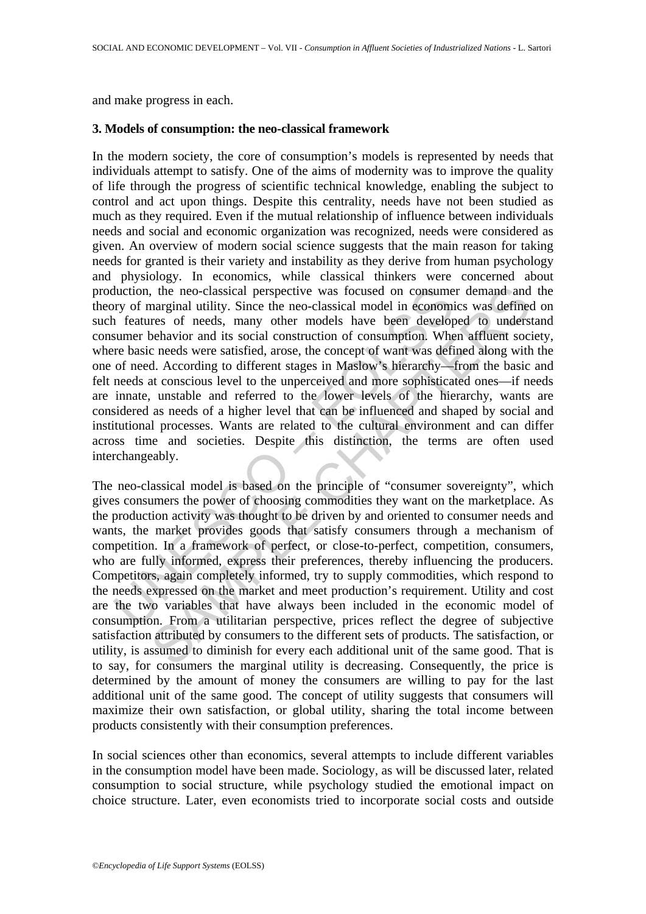and make progress in each.

### **3. Models of consumption: the neo-classical framework**

duction, the neo-classical perspective was focused on consume<br>orly of marginal utility. Since the neo-classical model in economi<br>neartnes of needs, many other models have been develop-<br>summer behavior and its social constr In the modern society, the core of consumption's models is represented by needs that individuals attempt to satisfy. One of the aims of modernity was to improve the quality of life through the progress of scientific technical knowledge, enabling the subject to control and act upon things. Despite this centrality, needs have not been studied as much as they required. Even if the mutual relationship of influence between individuals needs and social and economic organization was recognized, needs were considered as given. An overview of modern social science suggests that the main reason for taking needs for granted is their variety and instability as they derive from human psychology and physiology. In economics, while classical thinkers were concerned about production, the neo-classical perspective was focused on consumer demand and the theory of marginal utility. Since the neo-classical model in economics was defined on such features of needs, many other models have been developed to understand consumer behavior and its social construction of consumption. When affluent society, where basic needs were satisfied, arose, the concept of want was defined along with the one of need. According to different stages in Maslow's hierarchy—from the basic and felt needs at conscious level to the unperceived and more sophisticated ones—if needs are innate, unstable and referred to the lower levels of the hierarchy, wants are considered as needs of a higher level that can be influenced and shaped by social and institutional processes. Wants are related to the cultural environment and can differ across time and societies. Despite this distinction, the terms are often used interchangeably.

, the neo-classical perspective was focused on consumer demand and<br>narginal utility. Since the neo-classical model in economics was defined<br>neres of needs, many other models have been developed to unders<br>resolved and its s The neo-classical model is based on the principle of "consumer sovereignty", which gives consumers the power of choosing commodities they want on the marketplace. As the production activity was thought to be driven by and oriented to consumer needs and wants, the market provides goods that satisfy consumers through a mechanism of competition. In a framework of perfect, or close-to-perfect, competition, consumers, who are fully informed, express their preferences, thereby influencing the producers. Competitors, again completely informed, try to supply commodities, which respond to the needs expressed on the market and meet production's requirement. Utility and cost are the two variables that have always been included in the economic model of consumption. From a utilitarian perspective, prices reflect the degree of subjective satisfaction attributed by consumers to the different sets of products. The satisfaction, or utility, is assumed to diminish for every each additional unit of the same good. That is to say, for consumers the marginal utility is decreasing. Consequently, the price is determined by the amount of money the consumers are willing to pay for the last additional unit of the same good. The concept of utility suggests that consumers will maximize their own satisfaction, or global utility, sharing the total income between products consistently with their consumption preferences.

In social sciences other than economics, several attempts to include different variables in the consumption model have been made. Sociology, as will be discussed later, related consumption to social structure, while psychology studied the emotional impact on choice structure. Later, even economists tried to incorporate social costs and outside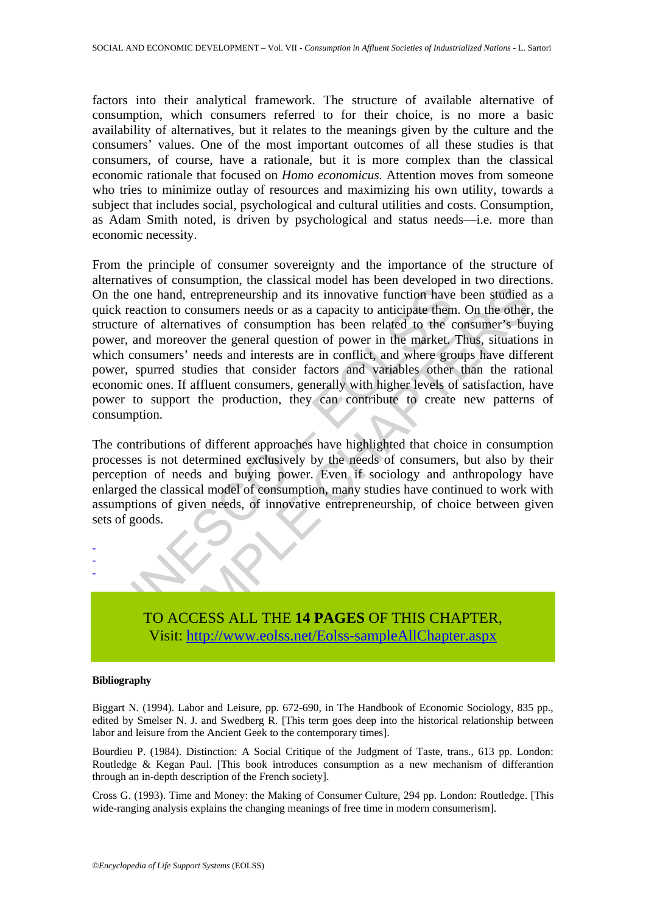factors into their analytical framework. The structure of available alternative of consumption, which consumers referred to for their choice, is no more a basic availability of alternatives, but it relates to the meanings given by the culture and the consumers' values. One of the most important outcomes of all these studies is that consumers, of course, have a rationale, but it is more complex than the classical economic rationale that focused on *Homo economicus.* Attention moves from someone who tries to minimize outlay of resources and maximizing his own utility, towards a subject that includes social, psychological and cultural utilities and costs. Consumption, as Adam Smith noted, is driven by psychological and status needs—i.e. more than economic necessity.

the one hand, entrepreneurship and its innovative function have<br>the one hand, entrepreneurship and its innovative function have<br>the curre of alternatives of consumption has been related to the curre<br>er, and moreover the ge Example 2012 and the properties are the properties and consumers needs or as a capacity to anticipate them. On the other aller allernatives of consumers needs or as a capacity to anticipate them. On the other allernatives From the principle of consumer sovereignty and the importance of the structure of alternatives of consumption, the classical model has been developed in two directions. On the one hand, entrepreneurship and its innovative function have been studied as a quick reaction to consumers needs or as a capacity to anticipate them. On the other, the structure of alternatives of consumption has been related to the consumer's buying power, and moreover the general question of power in the market. Thus, situations in which consumers' needs and interests are in conflict, and where groups have different power, spurred studies that consider factors and variables other than the rational economic ones. If affluent consumers, generally with higher levels of satisfaction, have power to support the production, they can contribute to create new patterns of consumption.

The contributions of different approaches have highlighted that choice in consumption processes is not determined exclusively by the needs of consumers, but also by their perception of needs and buying power. Even if sociology and anthropology have enlarged the classical model of consumption, many studies have continued to work with assumptions of given needs, of innovative entrepreneurship, of choice between given sets of goods.

> TO ACCESS ALL THE **14 PAGES** OF THIS CHAPTER, Visit: http://www.eolss.net/Eolss-sampleAllChapter.aspx

#### **Bibliography**

- - -

Biggart N. (1994). Labor and Leisure, pp. 672-690, in The Handbook of Economic Sociology, 835 pp., edited by Smelser N. J. and Swedberg R. [This term goes deep into the historical relationship between labor and leisure from the Ancient Geek to the contemporary times].

Bourdieu P. (1984). Distinction: A Social Critique of the Judgment of Taste, trans., 613 pp. London: Routledge & Kegan Paul. [This book introduces consumption as a new mechanism of differantion through an in-depth description of the French society].

Cross G. (1993). Time and Money: the Making of Consumer Culture, 294 pp. London: Routledge. [This wide-ranging analysis explains the changing meanings of free time in modern consumerism].